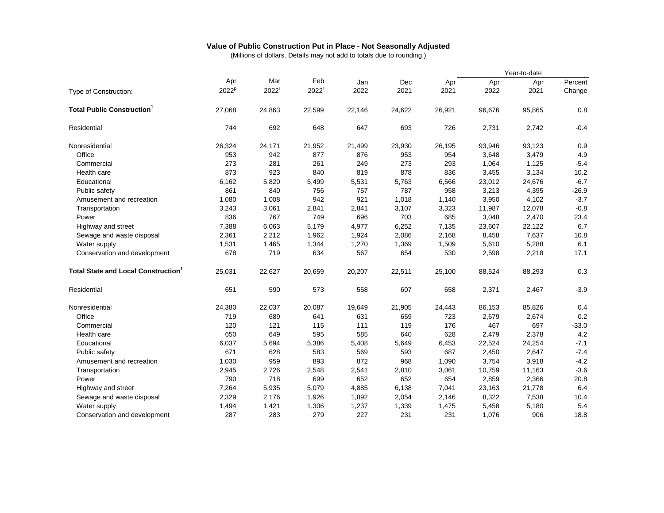## **Value of Public Construction Put in Place - Not Seasonally Adjusted**

(Millions of dollars. Details may not add to totals due to rounding.)

|                                           |          |                   |                   |        |        |        |        | Year-to-date |         |
|-------------------------------------------|----------|-------------------|-------------------|--------|--------|--------|--------|--------------|---------|
|                                           | Apr      | Mar               | Feb               | Jan    | Dec    | Apr    | Apr    | Apr          | Percent |
| Type of Construction:                     | $2022^p$ | 2022 <sup>r</sup> | 2022 <sup>r</sup> | 2022   | 2021   | 2021   | 2022   | 2021         | Change  |
| <b>Total Public Construction</b>          | 27.068   | 24,863            | 22,599            | 22,146 | 24,622 | 26.921 | 96.676 | 95,865       | 0.8     |
| Residential                               | 744      | 692               | 648               | 647    | 693    | 726    | 2,731  | 2,742        | $-0.4$  |
| Nonresidential                            | 26,324   | 24,171            | 21,952            | 21,499 | 23,930 | 26,195 | 93,946 | 93,123       | 0.9     |
| Office                                    | 953      | 942               | 877               | 876    | 953    | 954    | 3,648  | 3,479        | 4.9     |
| Commercial                                | 273      | 281               | 261               | 249    | 273    | 293    | 1,064  | 1,125        | $-5.4$  |
| Health care                               | 873      | 923               | 840               | 819    | 878    | 836    | 3,455  | 3,134        | 10.2    |
| Educational                               | 6,162    | 5,820             | 5,499             | 5,531  | 5,763  | 6,566  | 23,012 | 24,676       | $-6.7$  |
| Public safety                             | 861      | 840               | 756               | 757    | 787    | 958    | 3,213  | 4,395        | $-26.9$ |
| Amusement and recreation                  | 1,080    | 1,008             | 942               | 921    | 1,018  | 1,140  | 3,950  | 4,102        | $-3.7$  |
| Transportation                            | 3,243    | 3,061             | 2,841             | 2,841  | 3,107  | 3,323  | 11,987 | 12,078       | $-0.8$  |
| Power                                     | 836      | 767               | 749               | 696    | 703    | 685    | 3,048  | 2,470        | 23.4    |
| Highway and street                        | 7,388    | 6,063             | 5,179             | 4,977  | 6,252  | 7,135  | 23,607 | 22,122       | 6.7     |
| Sewage and waste disposal                 | 2,361    | 2,212             | 1,962             | 1,924  | 2,086  | 2,168  | 8,458  | 7,637        | 10.8    |
| Water supply                              | 1,531    | 1,465             | 1,344             | 1,270  | 1,369  | 1,509  | 5,610  | 5,288        | 6.1     |
| Conservation and development              | 678      | 719               | 634               | 567    | 654    | 530    | 2,598  | 2,218        | 17.1    |
| <b>Total State and Local Construction</b> | 25,031   | 22,627            | 20,659            | 20,207 | 22,511 | 25,100 | 88,524 | 88,293       | 0.3     |
| Residential                               | 651      | 590               | 573               | 558    | 607    | 658    | 2,371  | 2,467        | $-3.9$  |
| Nonresidential                            | 24,380   | 22,037            | 20,087            | 19,649 | 21,905 | 24,443 | 86,153 | 85,826       | 0.4     |
| Office                                    | 719      | 689               | 641               | 631    | 659    | 723    | 2,679  | 2,674        | 0.2     |
| Commercial                                | 120      | 121               | 115               | 111    | 119    | 176    | 467    | 697          | $-33.0$ |
| Health care                               | 650      | 649               | 595               | 585    | 640    | 628    | 2,479  | 2,378        | 4.2     |
| Educational                               | 6,037    | 5,694             | 5,386             | 5,408  | 5,649  | 6,453  | 22,524 | 24,254       | $-7.1$  |
| Public safety                             | 671      | 628               | 583               | 569    | 593    | 687    | 2,450  | 2,647        | $-7.4$  |
| Amusement and recreation                  | 1,030    | 959               | 893               | 872    | 968    | 1,090  | 3,754  | 3,918        | $-4.2$  |
| Transportation                            | 2,945    | 2,726             | 2,548             | 2,541  | 2,810  | 3,061  | 10,759 | 11,163       | $-3.6$  |
| Power                                     | 790      | 718               | 699               | 652    | 652    | 654    | 2,859  | 2,366        | 20.8    |
| Highway and street                        | 7,264    | 5,935             | 5,079             | 4,885  | 6,138  | 7,041  | 23,163 | 21,778       | 6.4     |
| Sewage and waste disposal                 | 2,329    | 2,176             | 1,926             | 1,892  | 2,054  | 2,146  | 8,322  | 7,538        | 10.4    |
| Water supply                              | 1,494    | 1,421             | 1,306             | 1,237  | 1,339  | 1,475  | 5,458  | 5,180        | 5.4     |
| Conservation and development              | 287      | 283               | 279               | 227    | 231    | 231    | 1,076  | 906          | 18.8    |